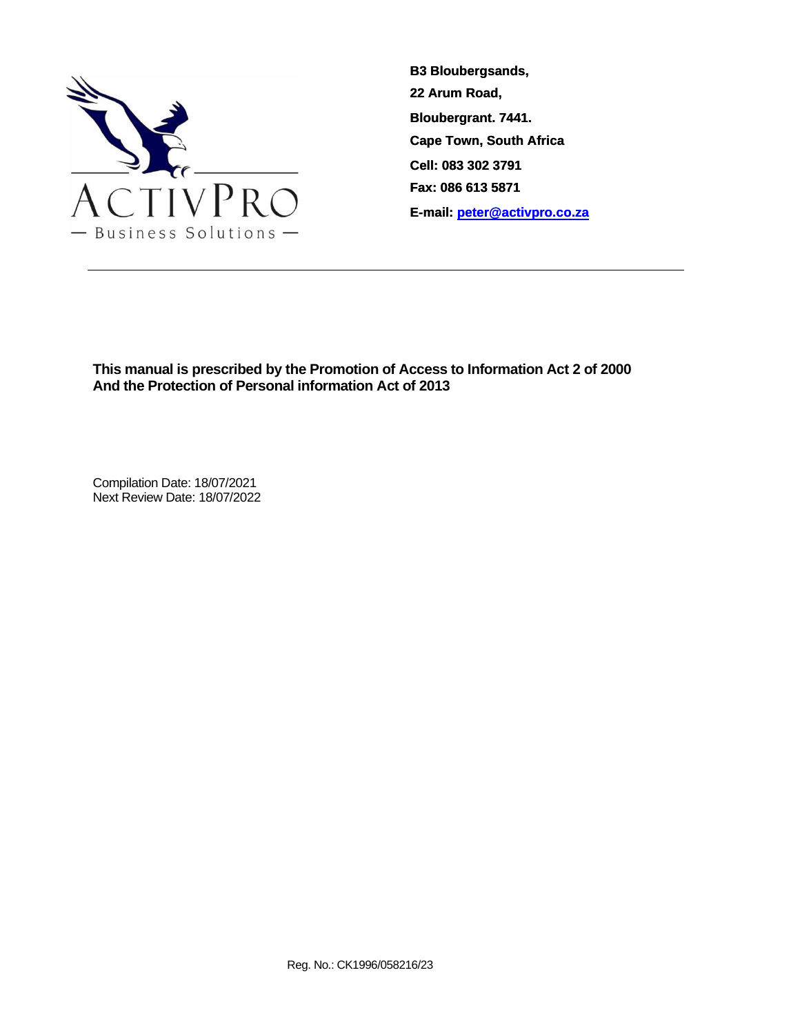

**This manual is prescribed by the Promotion of Access to Information Act 2 of 2000 And the Protection of Personal information Act of 2013**

Compilation Date: 18/07/2021 Next Review Date: 18/07/2022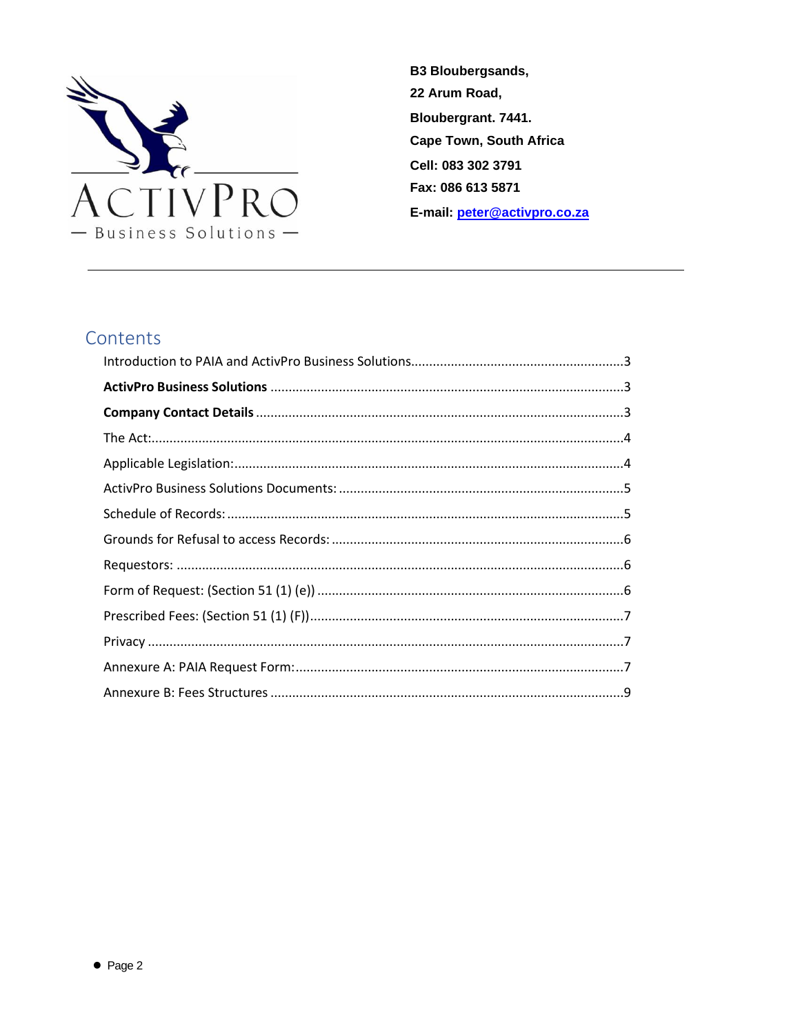

# Contents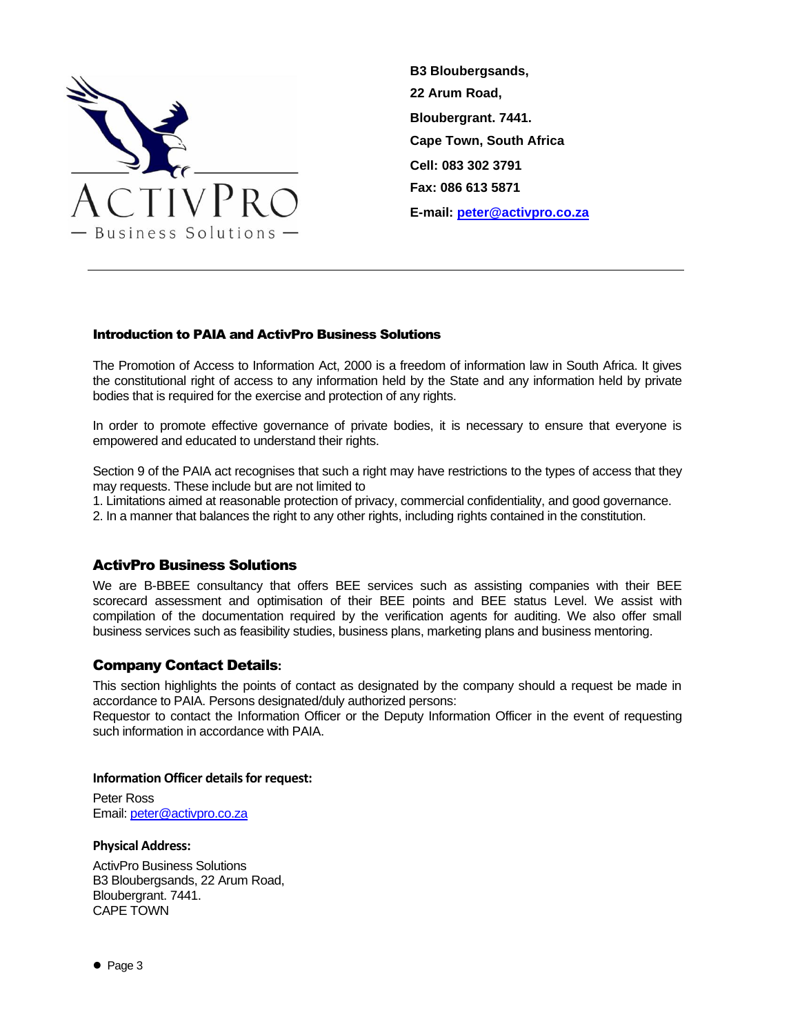

# <span id="page-2-0"></span>Introduction to PAIA and ActivPro Business Solutions

The Promotion of Access to Information Act, 2000 is a freedom of information law in South Africa. It gives the constitutional right of access to any information held by the State and any information held by private bodies that is required for the exercise and protection of any rights.

In order to promote effective governance of private bodies, it is necessary to ensure that everyone is empowered and educated to understand their rights.

Section 9 of the PAIA act recognises that such a right may have restrictions to the types of access that they may requests. These include but are not limited to

1. Limitations aimed at reasonable protection of privacy, commercial confidentiality, and good governance.

2. In a manner that balances the right to any other rights, including rights contained in the constitution.

### <span id="page-2-1"></span>ActivPro Business Solutions

We are B-BBEE consultancy that offers BEE services such as assisting companies with their BEE scorecard assessment and optimisation of their BEE points and BEE status Level. We assist with compilation of the documentation required by the verification agents for auditing. We also offer small business services such as feasibility studies, business plans, marketing plans and business mentoring.

### <span id="page-2-2"></span>Company Contact Details**:**

This section highlights the points of contact as designated by the company should a request be made in accordance to PAIA. Persons designated/duly authorized persons:

Requestor to contact the Information Officer or the Deputy Information Officer in the event of requesting such information in accordance with PAIA.

### **Information Officer details for request:**

Peter Ross Email: [peter@activpro.co.za](mailto:peter@activpro.co.za)

### **Physical Address:**

ActivPro Business Solutions B3 Bloubergsands, 22 Arum Road, Bloubergrant. 7441. CAPE TOWN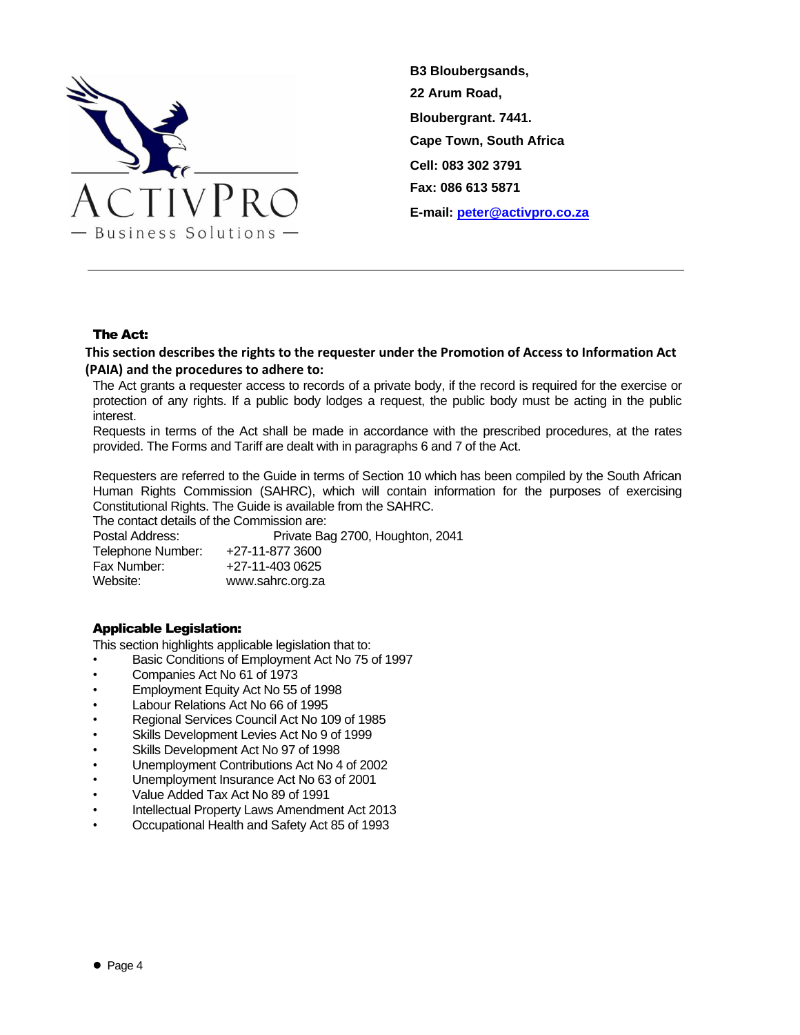

### The Act:

# <span id="page-3-0"></span>**This section describes the rights to the requester under the Promotion of Access to Information Act (PAIA) and the procedures to adhere to:**

The Act grants a requester access to records of a private body, if the record is required for the exercise or protection of any rights. If a public body lodges a request, the public body must be acting in the public interest.

Requests in terms of the Act shall be made in accordance with the prescribed procedures, at the rates provided. The Forms and Tariff are dealt with in paragraphs 6 and 7 of the Act.

Requesters are referred to the Guide in terms of Section 10 which has been compiled by the South African Human Rights Commission (SAHRC), which will contain information for the purposes of exercising Constitutional Rights. The Guide is available from the SAHRC.

The contact details of the Commission are:

Postal Address: Postal Address: Private Bag 2700, Houghton, 2041<br>Telephone Number: +27-11-877 3600 Telephone Number: Fax Number: +27-11-403 0625 Website: [www.sahrc.org.za](http://www.sahrc.org.za/)

# <span id="page-3-1"></span>Applicable Legislation:

This section highlights applicable legislation that to:

- Basic Conditions of Employment Act No 75 of 1997
- Companies Act No 61 of 1973
- Employment Equity Act No 55 of 1998
- Labour Relations Act No 66 of 1995
- Regional Services Council Act No 109 of 1985
- Skills Development Levies Act No 9 of 1999
- Skills Development Act No 97 of 1998
- Unemployment Contributions Act No 4 of 2002
- Unemployment Insurance Act No 63 of 2001
- Value Added Tax Act No 89 of 1991
- Intellectual Property Laws Amendment Act 2013
- Occupational Health and Safety Act 85 of 1993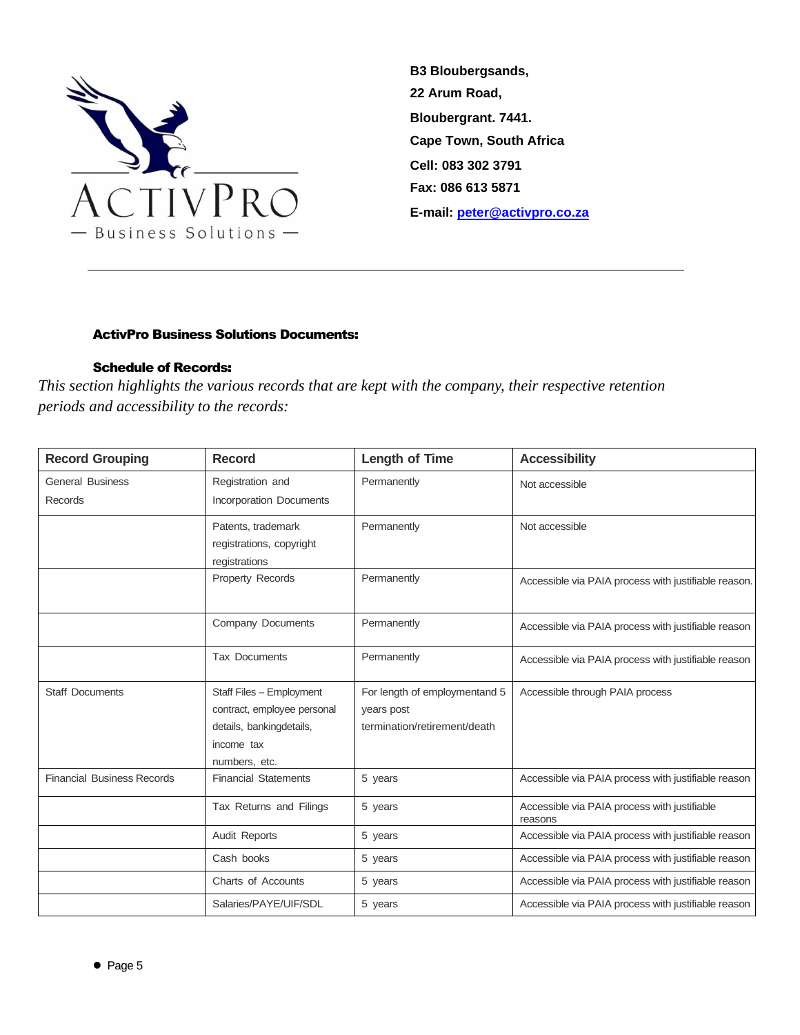

# ActivPro Business Solutions Documents:

# Schedule of Records:

<span id="page-4-1"></span><span id="page-4-0"></span>*This section highlights the various records that are kept with the company, their respective retention periods and accessibility to the records:*

| <b>Record Grouping</b>            | <b>Record</b>                             | <b>Length of Time</b>         | <b>Accessibility</b>                                    |
|-----------------------------------|-------------------------------------------|-------------------------------|---------------------------------------------------------|
| <b>General Business</b>           | Registration and                          | Permanently                   | Not accessible                                          |
| Records                           | <b>Incorporation Documents</b>            |                               |                                                         |
|                                   | Patents, trademark                        | Permanently                   | Not accessible                                          |
|                                   | registrations, copyright<br>registrations |                               |                                                         |
|                                   | <b>Property Records</b>                   | Permanently                   | Accessible via PAIA process with justifiable reason.    |
|                                   | Company Documents                         | Permanently                   | Accessible via PAIA process with justifiable reason     |
|                                   |                                           |                               |                                                         |
|                                   | <b>Tax Documents</b>                      | Permanently                   | Accessible via PAIA process with justifiable reason     |
| <b>Staff Documents</b>            | Staff Files - Employment                  | For length of employmentand 5 | Accessible through PAIA process                         |
|                                   | contract, employee personal               | years post                    |                                                         |
|                                   | details, bankingdetails,                  | termination/retirement/death  |                                                         |
|                                   | income tax                                |                               |                                                         |
|                                   | numbers, etc.                             |                               |                                                         |
| <b>Financial Business Records</b> | <b>Financial Statements</b>               | 5 years                       | Accessible via PAIA process with justifiable reason     |
|                                   | Tax Returns and Filings                   | 5 years                       | Accessible via PAIA process with justifiable<br>reasons |
|                                   | Audit Reports                             | 5 years                       | Accessible via PAIA process with justifiable reason     |
|                                   | Cash books                                | 5 years                       | Accessible via PAIA process with justifiable reason     |
|                                   | Charts of Accounts                        | 5 years                       | Accessible via PAIA process with justifiable reason     |
|                                   | Salaries/PAYE/UIF/SDL                     | 5 years                       | Accessible via PAIA process with justifiable reason     |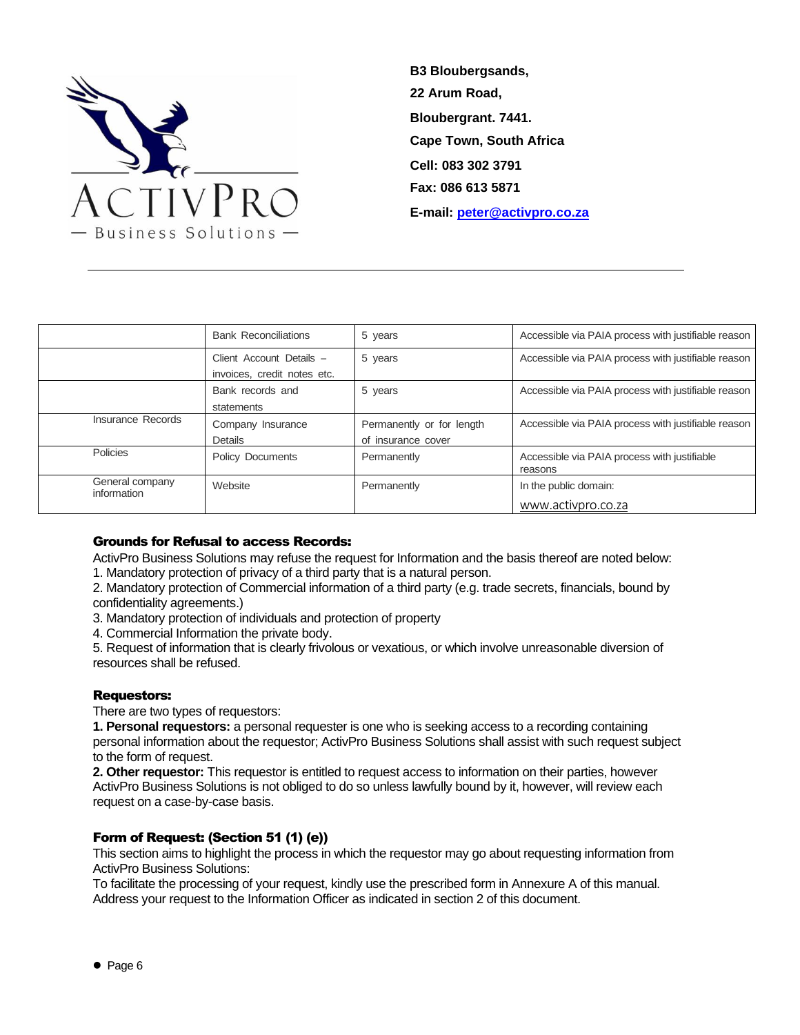

|                                | <b>Bank Reconciliations</b>                             | 5 years                                         | Accessible via PAIA process with justifiable reason     |
|--------------------------------|---------------------------------------------------------|-------------------------------------------------|---------------------------------------------------------|
|                                | Client Account Details -<br>invoices, credit notes etc. | 5 years                                         | Accessible via PAIA process with justifiable reason     |
|                                | Bank records and<br>statements                          | 5 years                                         | Accessible via PAIA process with justifiable reason     |
| Insurance Records              | Company Insurance<br>Details                            | Permanently or for length<br>of insurance cover | Accessible via PAIA process with justifiable reason     |
| Policies                       | <b>Policy Documents</b>                                 | Permanently                                     | Accessible via PAIA process with justifiable<br>reasons |
| General company<br>information | Website                                                 | Permanently                                     | In the public domain:<br>www.activpro.co.za             |

### <span id="page-5-0"></span>Grounds for Refusal to access Records:

ActivPro Business Solutions may refuse the request for Information and the basis thereof are noted below: 1. Mandatory protection of privacy of a third party that is a natural person.

2. Mandatory protection of Commercial information of a third party (e.g. trade secrets, financials, bound by confidentiality agreements.)

3. Mandatory protection of individuals and protection of property

4. Commercial Information the private body.

5. Request of information that is clearly frivolous or vexatious, or which involve unreasonable diversion of resources shall be refused.

### <span id="page-5-1"></span>Requestors:

There are two types of requestors:

**1. Personal requestors:** a personal requester is one who is seeking access to a recording containing personal information about the requestor; ActivPro Business Solutions shall assist with such request subject to the form of request.

**2. Other requestor:** This requestor is entitled to request access to information on their parties, however ActivPro Business Solutions is not obliged to do so unless lawfully bound by it, however, will review each request on a case-by-case basis.

### <span id="page-5-2"></span>Form of Request: (Section 51 (1) (e))

This section aims to highlight the process in which the requestor may go about requesting information from ActivPro Business Solutions:

To facilitate the processing of your request, kindly use the prescribed form in Annexure A of this manual. Address your request to the Information Officer as indicated in section 2 of this document.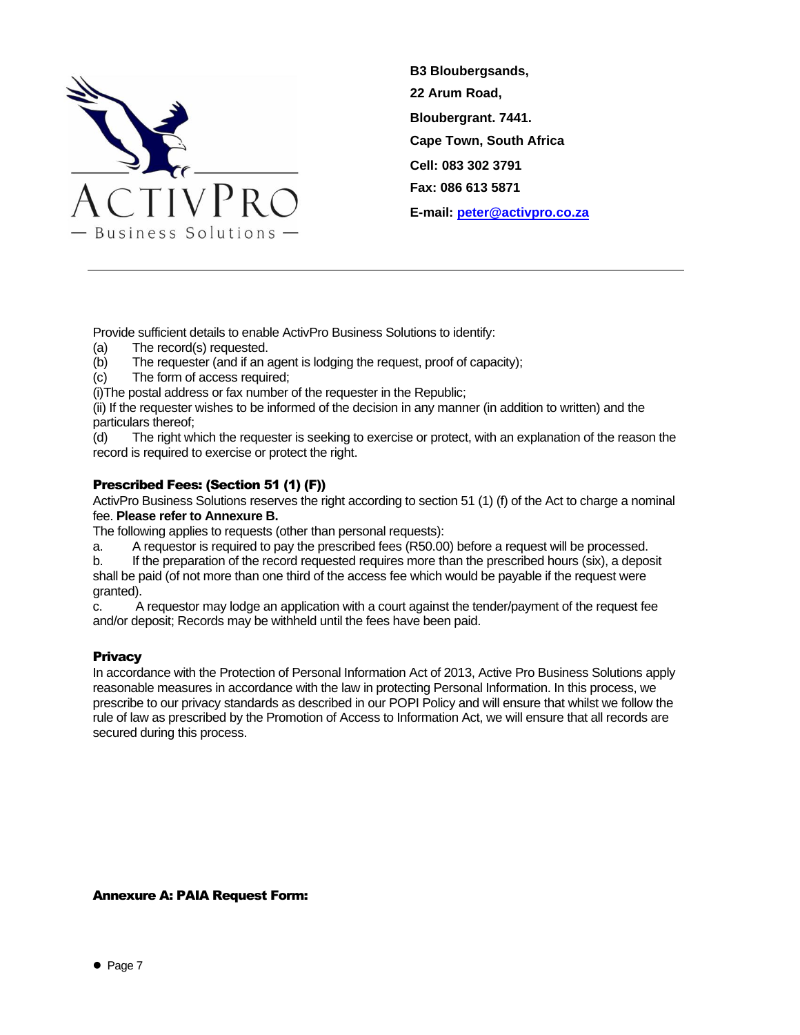

Provide sufficient details to enable ActivPro Business Solutions to identify:

- (a) The record(s) requested.
- (b) The requester (and if an agent is lodging the request, proof of capacity);
- (c) The form of access required;

(i)The postal address or fax number of the requester in the Republic;

(ii) If the requester wishes to be informed of the decision in any manner (in addition to written) and the particulars thereof;

(d) The right which the requester is seeking to exercise or protect, with an explanation of the reason the record is required to exercise or protect the right.

# <span id="page-6-0"></span>Prescribed Fees: (Section 51 (1) (F))

ActivPro Business Solutions reserves the right according to section 51 (1) (f) of the Act to charge a nominal fee. **Please refer to Annexure B.**

The following applies to requests (other than personal requests):

a. A requestor is required to pay the prescribed fees (R50.00) before a request will be processed.

b. If the preparation of the record requested requires more than the prescribed hours (six), a deposit shall be paid (of not more than one third of the access fee which would be payable if the request were granted).

c. A requestor may lodge an application with a court against the tender/payment of the request fee and/or deposit; Records may be withheld until the fees have been paid.

# <span id="page-6-1"></span>**Privacy**

In accordance with the Protection of Personal Information Act of 2013, Active Pro Business Solutions apply reasonable measures in accordance with the law in protecting Personal Information. In this process, we prescribe to our privacy standards as described in our POPI Policy and will ensure that whilst we follow the rule of law as prescribed by the Promotion of Access to Information Act, we will ensure that all records are secured during this process.

# <span id="page-6-2"></span>Annexure A: PAIA Request Form: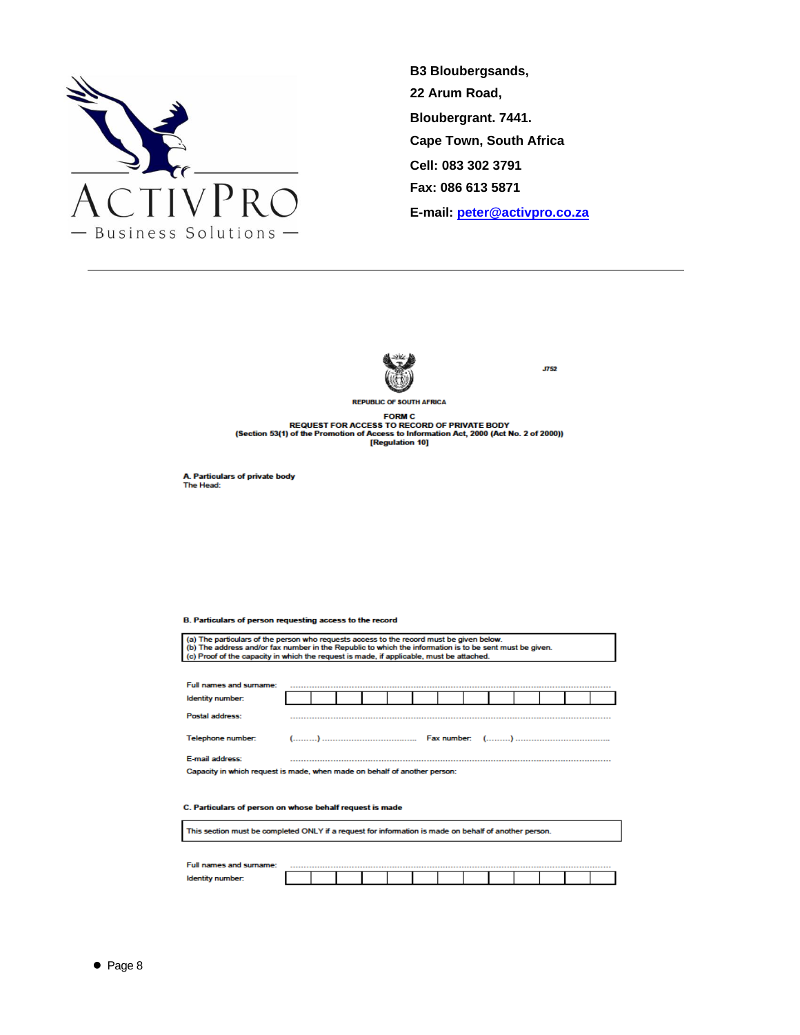



**J752** 

REQUEST FOR ACCESS TO RECORD OF PRIVATE BODY<br>REQUEST FOR ACCESS TO RECORD OF PRIVATE BODY<br>(Section 53(1) of the Promotion of Access to Information Act, 2000 (Act No. 2 of 2000))

A. Particulars of private body<br>The Head:

#### B. Particulars of person requesting access to the record

| (a) The particulars of the person who requests access to the record must be given below.<br>(b) The address and/or fax number in the Republic to which the information is to be sent must be given.<br>(c) Proof of the capacity in which the request is made, if applicable, must be attached. |  |  |  |  |  |  |  |  |  |  |  |  |
|-------------------------------------------------------------------------------------------------------------------------------------------------------------------------------------------------------------------------------------------------------------------------------------------------|--|--|--|--|--|--|--|--|--|--|--|--|
|                                                                                                                                                                                                                                                                                                 |  |  |  |  |  |  |  |  |  |  |  |  |
| Full names and surname:                                                                                                                                                                                                                                                                         |  |  |  |  |  |  |  |  |  |  |  |  |
|                                                                                                                                                                                                                                                                                                 |  |  |  |  |  |  |  |  |  |  |  |  |
| Identity number:                                                                                                                                                                                                                                                                                |  |  |  |  |  |  |  |  |  |  |  |  |
| Postal address:                                                                                                                                                                                                                                                                                 |  |  |  |  |  |  |  |  |  |  |  |  |
| Telephone number:                                                                                                                                                                                                                                                                               |  |  |  |  |  |  |  |  |  |  |  |  |
| E-mail address:                                                                                                                                                                                                                                                                                 |  |  |  |  |  |  |  |  |  |  |  |  |
| Capacity in which request is made, when made on behalf of another person:                                                                                                                                                                                                                       |  |  |  |  |  |  |  |  |  |  |  |  |
| C. Particulars of person on whose behalf request is made                                                                                                                                                                                                                                        |  |  |  |  |  |  |  |  |  |  |  |  |
| This section must be completed ONLY if a request for information is made on behalf of another person.                                                                                                                                                                                           |  |  |  |  |  |  |  |  |  |  |  |  |

| Full names and surname: |  |  |  |  |  |  |  |
|-------------------------|--|--|--|--|--|--|--|
| <b>Identity</b>         |  |  |  |  |  |  |  |